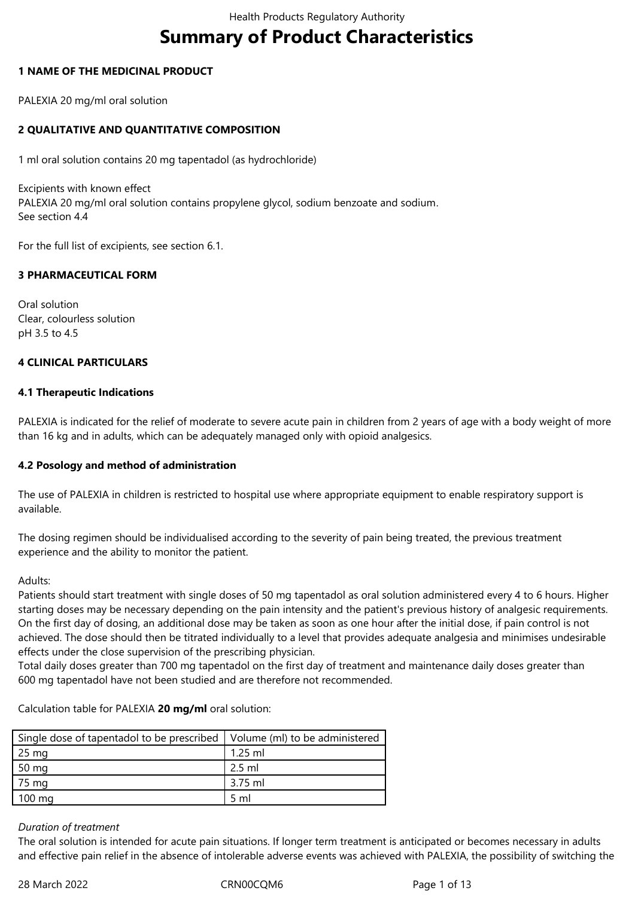# **Summary of Product Characteristics**

## **1 NAME OF THE MEDICINAL PRODUCT**

PALEXIA 20 mg/ml oral solution

## **2 QUALITATIVE AND QUANTITATIVE COMPOSITION**

1 ml oral solution contains 20 mg tapentadol (as hydrochloride)

Excipients with known effect PALEXIA 20 mg/ml oral solution contains propylene glycol, sodium benzoate and sodium. See section 4.4

For the full list of excipients, see section 6.1.

## **3 PHARMACEUTICAL FORM**

Oral solution Clear, colourless solution pH 3.5 to 4.5

## **4 CLINICAL PARTICULARS**

## **4.1 Therapeutic Indications**

PALEXIA is indicated for the relief of moderate to severe acute pain≀in children from 2 years of age with a body weight of more than 16 kg and in adults, which can be adequately managed only with opioid analgesics.

## **4.2 Posology and method of administration**

The use of PALEXIA in children is restricted to hospital use where appropriate equipment to enable respiratory support is available.

The dosing regimen should be individualised according to the severity of pain⊇being≙treated, the previous treatment experience and the ability to monitor the patient.

Adults:

Patients should start treatment with single doses of 50 mg tapentadol as oral solution administered every 4 to 6 hours. Higher starting doses may be necessary depending on the pain≟intensity and the patient's previous history of analgesic≟requirements. On the first day of dosing, an additional dose may be≀taken as soon as one hour after the initial dose, if pain control is not achieved. The dose should then be titrated individually to a level that provides adequate analgesia and minimises undesirable effects under the close supervision of the prescribing physician.

Total daily doses greater than 700 mg≀tapentadol on the first day of treatment and maintenance daily doses greater than 600 mg tapentadol have not been studied and are therefore not recommended.

Calculation≙table≙for≙PALEXIA≙**20 mg/ml**≙oral≙solution:

| Single dose of tapentadol to be prescribed   Volume (ml) to be administered |                |
|-----------------------------------------------------------------------------|----------------|
| 25 mg                                                                       | $1.25$ ml      |
| 50 mg                                                                       | $2.5$ ml       |
| 75 mg                                                                       | 3.75 ml        |
| $100 \text{ mg}$                                                            | $5 \text{ ml}$ |

## *Duration of treatment*

The oral solution is intended for acute pain situations. If longer term treatment is anticipated or becomes necessary in adults and effective pain relief in the absence of intolerable adverse events was achieved with PALEXIA, the possibility of switching the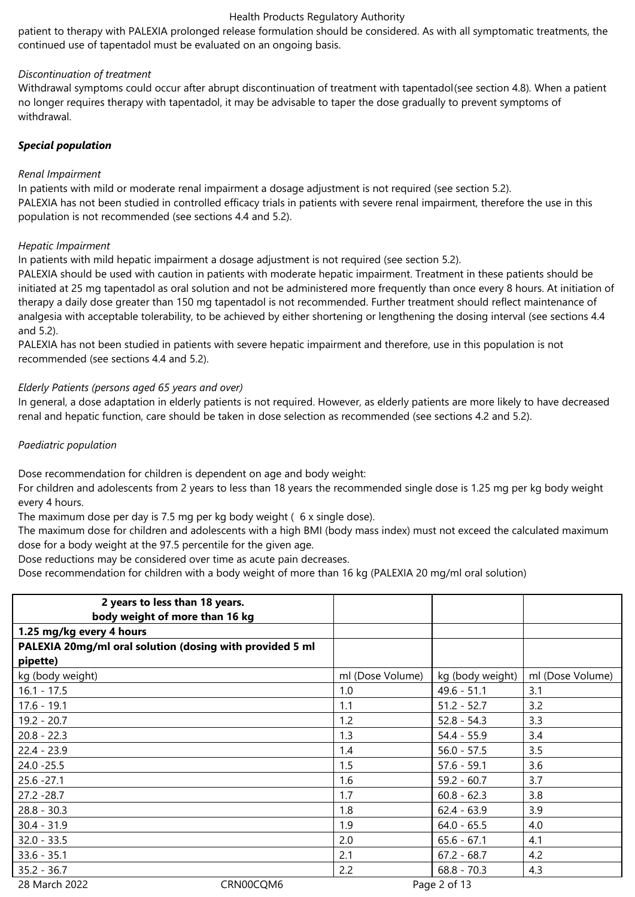patient to therapy with PALEXIA prolonged release formulation should be considered. As with all symptomatic treatments, the continued use of tapentadol must be evaluated on an ongoing basis.

## *Discontinuation of treatment*

Withdrawal symptoms could occur after abrupt discontinuation of treatment with tapentadol(see section 4.8). When a patient no longer requires therapy with tapentadol, it may be advisable to taper∟the dose gradually to prevent symptoms of withdrawal.

## *Special population*

## *Renal Impairment*

In patients with mild or moderate renal impairment a dosage adjustment is not required (see section 5.2). PALEXIA has not been studied in controlled efficacy trials in patients with severe renal impairment, therefore the use in this population is not recommended (see sections 4.4 and 5.2).

## *Hepatic Impairment*

In patients with mild hepatic≟impairment a dosage adjustment is not required (see section 5.2).

PALEXIA should be used with caution in patients with moderate hepatic≟impairment. Treatment in these patients should be initiated at 25 mg tapentadol as oral solution and not be administered more frequently than once every 8 hours. At initiation of therapy a daily dose greater than 150 mg tapentadol is not recommended. Further treatment should reflect maintenance of analgesia with acceptable tolerability, to be achieved by either shortening or lengthening the dosing interval (see sections 4.4 and≙5.2).

PALEXIA has not⊇been studied≟in patients with severe hepatic≟impairment and therefore, use≟in this population is not recommended≙(see≙sections≙4.4≙and≙5.2).

## *Elderly Patients (persons aged 65 years and over)*

In general, a dose adaptation in elderly patients is not required. However, as elderly patients are more likely to have decreased renal and hepatic function, care should be≀taken in dose selection as recommended (see sections 4.2 and 5.2).

## *Paediatric population*

Dose recommendation for children is dependent on age and body weight:

For children and adolescents from 2 years to less than 18 years the recommended single dose is 1.25 mg per kg body weight every 4 hours.

The maximum dose per day is 7.5 mg per kg body weight (6 x single dose).

The maximum dose for children and adolescents with a high BMI (body mass index) must not exceed the calculated maximum dose for a body weight at the 97.5 percentile for the given age.

Dose reductions may be considered over time as acute pain decreases.

Dose recommendation for children with a body weight of more than 16 kg (PALEXIA 20 mg/ml oral solution)

| 2 years to less than 18 years.<br>body weight of more than 16 kg |           |                  |                  |                  |
|------------------------------------------------------------------|-----------|------------------|------------------|------------------|
| 1.25 mg/kg every 4 hours                                         |           |                  |                  |                  |
| PALEXIA 20mg/ml oral solution (dosing with provided 5 ml         |           |                  |                  |                  |
| pipette)                                                         |           |                  |                  |                  |
| kg (body weight)                                                 |           | ml (Dose Volume) | kg (body weight) | ml (Dose Volume) |
| $16.1 - 17.5$                                                    |           | 1.0              | $49.6 - 51.1$    | 3.1              |
| $17.6 - 19.1$                                                    |           | 1.1              | $51.2 - 52.7$    | 3.2              |
| $19.2 - 20.7$                                                    |           | 1.2              | $52.8 - 54.3$    | 3.3              |
| $20.8 - 22.3$                                                    |           | 1.3              | $54.4 - 55.9$    | 3.4              |
| $22.4 - 23.9$                                                    |           | 1.4              | $56.0 - 57.5$    | 3.5              |
| $24.0 - 25.5$                                                    |           | 1.5              | $57.6 - 59.1$    | 3.6              |
| $25.6 - 27.1$                                                    |           | 1.6              | $59.2 - 60.7$    | 3.7              |
| $27.2 - 28.7$                                                    |           | 1.7              | $60.8 - 62.3$    | 3.8              |
| $28.8 - 30.3$                                                    |           | 1.8              | $62.4 - 63.9$    | 3.9              |
| $30.4 - 31.9$                                                    |           | 1.9              | $64.0 - 65.5$    | 4.0              |
| $32.0 - 33.5$                                                    |           | 2.0              | $65.6 - 67.1$    | 4.1              |
| $33.6 - 35.1$                                                    |           | 2.1              | $67.2 - 68.7$    | 4.2              |
| $35.2 - 36.7$                                                    |           | 2.2              | $68.8 - 70.3$    | 4.3              |
| 28 March 2022                                                    | CRN00CQM6 |                  | Page 2 of 13     |                  |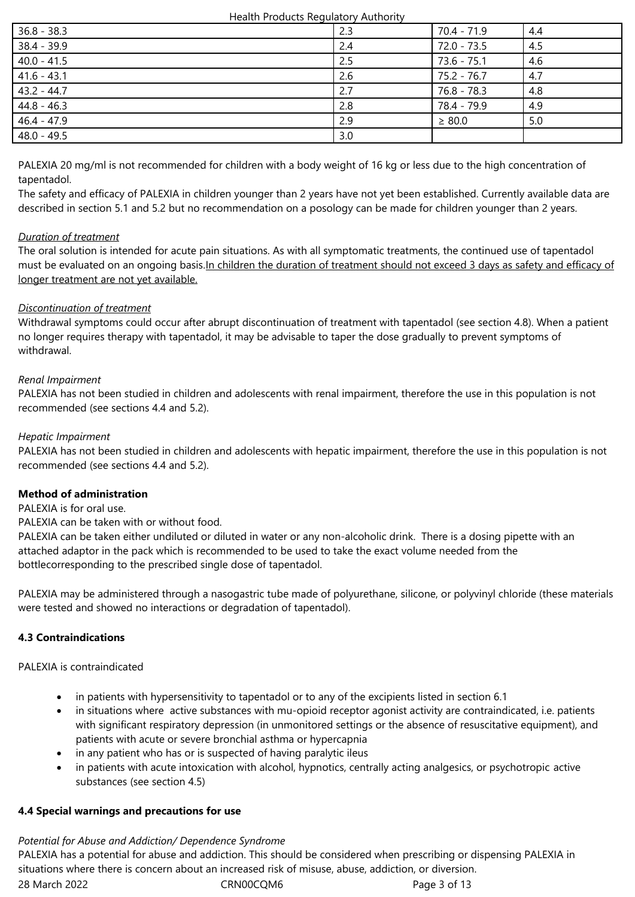| $36.8 - 38.3$ | 2.3 | 70.4 - 71.9 | 4.4 |
|---------------|-----|-------------|-----|
| $38.4 - 39.9$ | 2.4 | 72.0 - 73.5 | 4.5 |
| $40.0 - 41.5$ | 2.5 | 73.6 - 75.1 | 4.6 |
| $41.6 - 43.1$ | 2.6 | 75.2 - 76.7 | 4.7 |
| 43.2 - 44.7   | 2.7 | 76.8 - 78.3 | 4.8 |
| $44.8 - 46.3$ | 2.8 | 78.4 - 79.9 | 4.9 |
| 46.4 - 47.9   | 2.9 | $\geq 80.0$ | 5.0 |
| 48.0 - 49.5   | 3.0 |             |     |

PALEXIA 20 mg/ml is not recommended for children with a body weight of 16 kg or less due to the high concentration of tapentadol.

The safety and efficacy of PALEXIA in children younger than 2 years have not yet been established. Currently available data are described in section 5.1 and 5.2 but no recommendation on a posology can be made for children younger than 2 years.

## *Duration of treatment*

The oral solution is intended for acute pain situations. As with all symptomatic treatments, the continued use of tapentadol must be evaluated on an ongoing basis.In children the duration of treatment should not exceed 3 days as safety and efficacy of longer treatment are not yet available.

# *Discontinuation of treatment*

Withdrawal symptoms could occur after abrupt discontinuation of treatment with tapentadol (see section 4.8). When a patient no longer requires therapy with tapentadol, it may be advisable to taper the dose gradually to prevent symptoms of withdrawal.

# *Renal Impairment*

PALEXIA has not been studied in children and adolescents with renal impairment, therefore the use in this population is not recommended (see sections 4.4 and 5.2).

## *Hepatic Impairment*

PALEXIA has not been studied in children and adolescents with hepatic≟impairment, therefore the use≟in this population is not recommended (see sections 4.4 and 5.2).

# **Method of administration**

PALEXIA is for oral use.

PALEXIA can be taken with or without food.

PALEXIA can be≀taken either undiluted or diluted≀in water or any non-alcoholic drink. There is a dosing pipette with an attached adaptor in the pack which is recommended to be used to take the exact volume needed from the bottlecorresponding to the prescribed single dose of tapentadol.

PALEXIA may be administered through a nasogastric≀tube made of polyurethane, silicone, or polyvinyl chloride (these materials were tested and showed no interactions or degradation of tapentadol).

# **4.3 Contraindications**

PALEXIA is contraindicated

- in patients with hypersensitivity to tapentadol or to any of the excipients listed in section 6.1
- in situations where active substances with mu-opioid receptor agonist activity are contraindicated, i.e. patients with significant respiratory depression (in unmonitored settings or the absence of resuscitative equipment), and patients with acute or severe bronchial asthma or hypercapnia
- in any patient who has or is suspected of having paralytic ileus
- in patients with acute intoxication with alcohol, hypnotics, centrally acting analgesics, or psychotropic active substances (see section 4.5)

## **4.4 Special warnings and precautions for use**

28≙March≙2022 CRN00CQM6 Page≙3≙of≙13 *Potential for Abuse and Addiction/ Dependence Syndrome* PALEXIA has a potential for abuse and addiction. This should be considered when prescribing or dispensing PALEXIA in situations where there is concern about an increased risk of misuse, abuse, addiction, or diversion.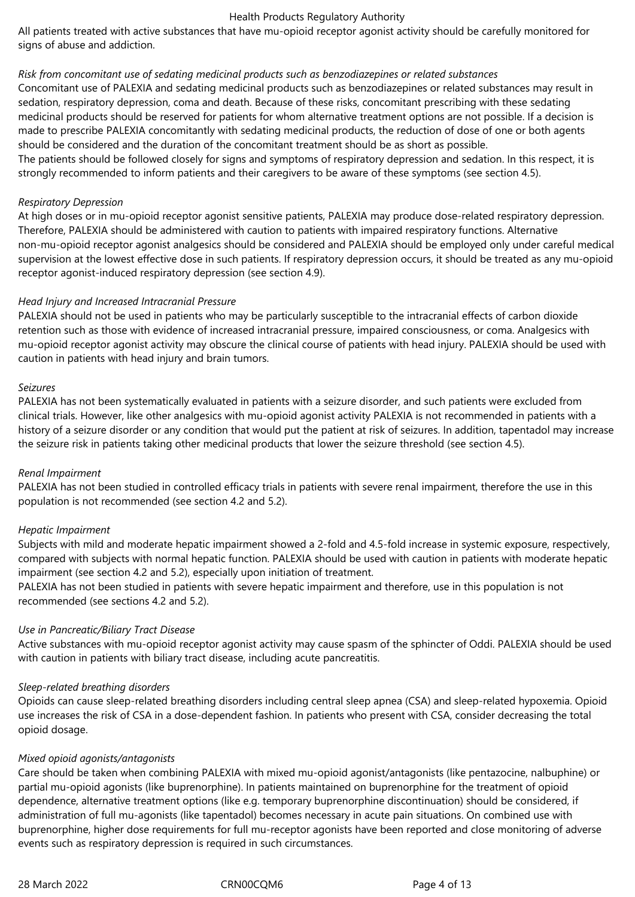All patients treated with active substances that have mu-opioid receptor agonist activity should be carefully monitored for signs of abuse and addiction.

## *Risk from concomitant use of sedating medicinal products such as benzodiazepines or related substances*

Concomitant use of PALEXIA and sedating medicinal products such as benzodiazepines or related substances may result in sedation, respiratory depression, coma and death. Because of these risks, concomitant prescribing with these sedating medicinal products should be reserved for patients for whom alternative treatment options are not possible. If a decision is made to prescribe PALEXIA concomitantly with sedating medicinal products, the reduction of dose of one or both agents should be considered and the duration of the concomitant treatment should be as short as possible.

The patients should be followed closely for signs and symptoms of respiratory depression and sedation. In this respect, it is strongly recommended to inform patients and their caregivers to be aware of these symptoms (see section 4.5).

#### *Respiratory Depression*

At high doses or in mu-opioid receptor agonist sensitive patients, PALEXIA may produce dose-related respiratory depression. Therefore, PALEXIA should be administered with caution to patients with≟impaired respiratory functions. Alternative non-mu-opioid receptor agonist analgesics should be considered and PALEXIA should be employed only under careful medical supervision at the lowest effective dose in such patients. If respiratory depression occurs, it should be treated as any mu-opioid receptor agonist-induced respiratory depression (see section 4.9).

#### *Head Injury and Increased Intracranial Pressure*

PALEXIA should not be used in patients who may be particularly susceptible to the intracranial effects of carbon dioxide retention such as those with evidence of increased intracranial pressure, impaired consciousness, or coma. Analgesics with mu-opioid receptor agonist activity may obscure the clinical course of patients with head injury. PALEXIA should be used with caution in patients with head injury and brain tumors.

#### *Seizures*

PALEXIA has not been systematically evaluated in patients with a seizure disorder, and such patients were excluded from clinical trials. However, like other analgesics with mu-opioid agonist activity PALEXIA is not recommended in patients with a history of a seizure disorder or any condition≀that would put≀the patient at risk⊇of seizures. In addition, tapentadol may increase the seizure risk in patients taking other medicinal products that lower the seizure threshold (see section 4.5).

## *Renal Impairment*

PALEXIA has not been studied in controlled efficacy trials≀in patients with severe renal impairment, therefore the use in this population is not recommended (see section 4.2 and 5.2).

## *Hepatic Impairment*

Subjects with mild and moderate hepatic impairment showed a 2-fold and 4.5-fold increase in systemic exposure, respectively, compared with subjects with normal hepatic function. PALEXIA should be used with caution≟in patients with moderate hepatic impairment (see section 4.2 and 5.2), especially upon initiation of treatment.

PALEXIA has not been studied in patients with severe hepatic≟impairment and therefore, use in this population is not recommended (see sections 4.2 and 5.2).

## *Use in Pancreatic/Biliary Tract Disease*

Active substances with mu-opioid receptor agonist activity may cause spasm of the sphincter of Oddi. PALEXIA should be used with caution in patients with biliary tract disease, including acute pancreatitis.

#### *Sleep-related breathing disorders*

Opioids can cause sleep-related breathing disorders including central sleep apnea (CSA) and sleep-related hypoxemia. Opioid use increases the risk of CSA in a dose-dependent fashion. In patients who present with CSA, consider decreasing the total opioid≙dosage.

## *Mixed opioid agonists/antagonists*

Care should be taken when combining PALEXIA with mixed mu-opioid agonist/antagonists (like pentazocine, nalbuphine) or partial mu-opioid agonists (like buprenorphine). In patients maintained on buprenorphine for the treatment of opioid dependence, alternative treatment options (like e.g. temporary buprenorphine discontinuation) should be considered, if administration of full mu-agonists (like tapentadol) becomes necessary in acute pain situations. On combined use with buprenorphine, higher dose requirements for full mu-receptor agonists have been reported and close monitoring of adverse events such as respiratory depression is required in such circumstances.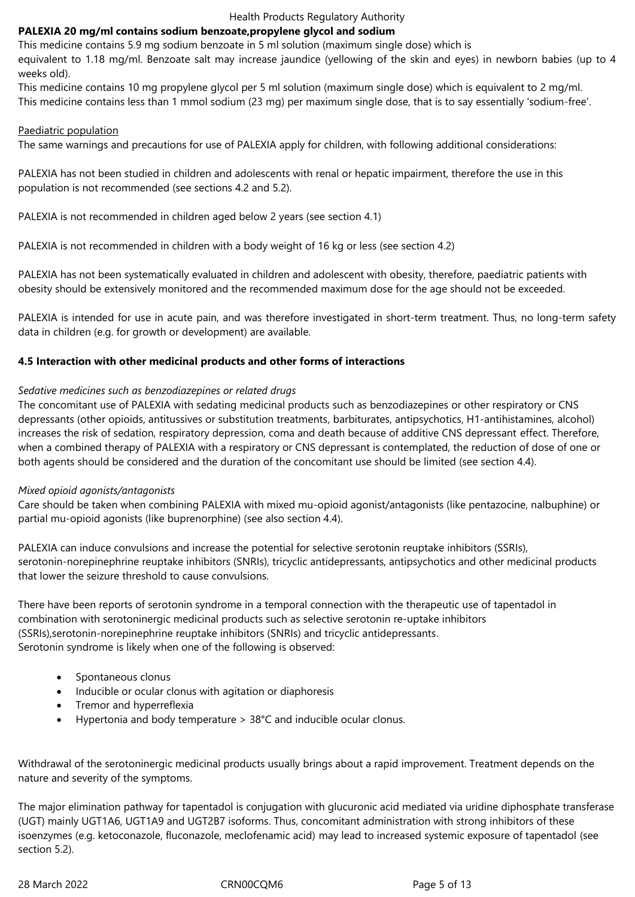## **PALEXIA 20 mg/ml contains sodium benzoate,propylene glycol and sodium**

This medicine contains 5.9 mg≀sodium benzoate≀in 5 ml solution (maximum single dose) which is

equivalent to 1.18 mg/ml. Benzoate salt may increase jaundice (yellowing of the skin and eyes) in newborn babies (up to 4 weeks old).

This medicine contains 10 mg propylene glycol per 5 ml solution (maximum single dose) which is equivalent to 2 mg/ml. This medicine contains less than 1 mmol sodium (23 mg) per maximum single dose, that is to say essentially 'sodium-free'.

## Paediatric population

The same warnings and precautions for use of PALEXIA apply for children, with following additional considerations:

PALEXIA has not been studied in children and adolescents with renal or hepatic≟impairment, therefore the use in this population is not recommended (see sections 4.2 and 5.2).

PALEXIA is not recommended in children aged below 2 years (see section 4.1)

PALEXIA is not recommended in children with a body weight of 16 kg or less (see section 4.2)

PALEXIA has not been systematically evaluated in children and adolescent with obesity, therefore, paediatric patients with obesity should be extensively monitored and the recommended maximum dose for the age should not be exceeded.

PALEXIA is intended for use in acute pain, and was therefore investigated in short-term treatment. Thus, no long-term safety data in children (e.g. for growth or development) are available.

## **4.5 Interaction with other medicinal products and other forms of interactions**

## *Sedative medicines such as benzodiazepines or related drugs*

The concomitant use of PALEXIA with sedating medicinal products such as benzodiazepines or other respiratory or CNS depressants (other opioids, antitussives or substitution treatments, barbiturates, antipsychotics, H1-antihistamines, alcohol) increases the risk of sedation, respiratory depression, coma and death because of additive CNS depressant effect. Therefore, when a combined therapy of PALEXIA with a respiratory or CNS depressant is contemplated, the reduction of dose of one or both agents should be considered and the duration of the concomitant use should be limited (see section 4.4).

## *Mixed opioid agonists/antagonists*

Care should be taken when combining PALEXIA with mixed mu-opioid agonist/antagonists (like pentazocine, nalbuphine) or partial mu-opioid agonists (like buprenorphine) (see also section 4.4).

PALEXIA can induce convulsions and increase the potential for selective serotonin reuptake inhibitors (SSRIs), serotonin-norepinephrine reuptake inhibitors (SNRIs), tricyclic antidepressants, antipsychotics and other medicinal products that lower the seizure threshold to cause convulsions.

There have been reports of serotonin syndrome≀in a temporal connection with the therapeutic use of tapentadol in combination with serotoninergic medicinal products such as selective serotonin re-uptake inhibitors (SSRIs),serotonin-norepinephrine≙reuptake≙inhibitors≙(SNRIs)≙and≙tricyclic≙antidepressants. Serotonin syndrome is likely when one of the following is observed:

- Spontaneous clonus
- Inducible or ocular clonus with agitation or diaphoresis
- Tremor and hyperreflexia
- Hypertonia and body temperature > 38°C and inducible ocular clonus.

Withdrawal of the serotoninergic medicinal products usually brings about a rapid improvement. Treatment depends on the nature and severity of the symptoms.

The major elimination pathway for tapentadol is conjugation with glucuronic acid mediated via uridine diphosphate transferase (UGT) mainly UGT1A6, UGT1A9 and UGT2B7 isoforms. Thus, concomitant administration with strong inhibitors of these isoenzymes (e.g. ketoconazole, fluconazole, meclofenamic acid) may lead to increased systemic exposure of tapentadol (see section 5.2).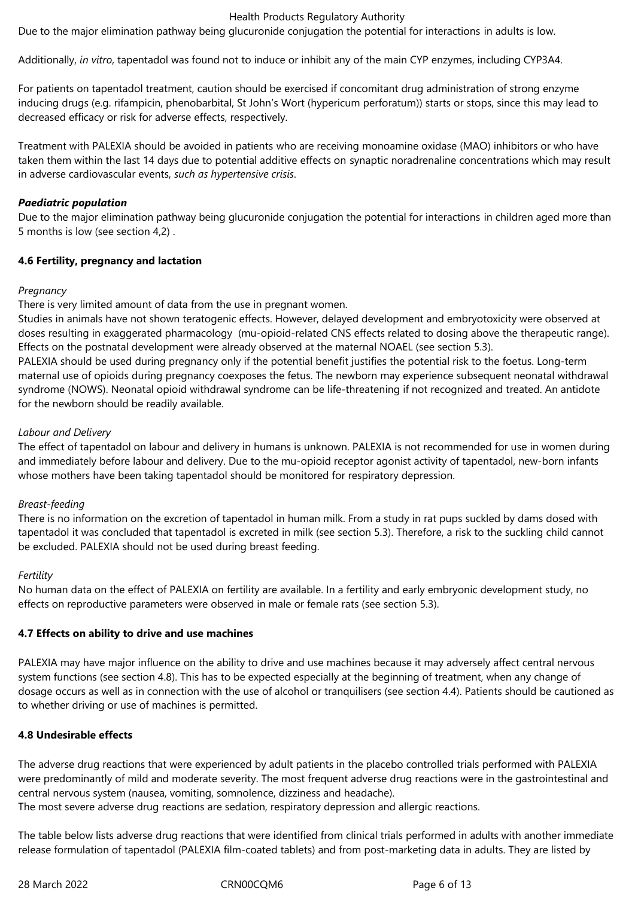Due to the major elimination pathway being glucuronide conjugation the potential for interactions in adults is low.

Additionally, *in vitro*, tapentadol was found not to induce or inhibit any of the main CYP enzymes, including CYP3A4.

For patients on tapentadol treatment, caution should be exercised if concomitant drug administration of strong enzyme inducing drugs (e.g. rifampicin, phenobarbital, St John's Wort (hypericum perforatum)) starts or stops, since this may lead to decreased efficacy or risk for adverse effects, respectively.

Treatment with PALEXIA should be avoided in patients who are receiving monoamine oxidase (MAO) inhibitors or who have taken them within the last 14 days due to potential additive effects on synaptic noradrenaline concentrations which may result in≙adverse≙cardiovascular≙events, *such as hypertensive crisis*.

## *Paediatric population*

Due to the major elimination pathway being glucuronide conjugation the potential for≀interactions≀in children aged more than 5 months is low (see section 4,2).

## **4.6 Fertility, pregnancy and lactation**

## *Pregnancy*

There is very limited amount of data from the use in pregnant women.

Studies in animals have not shown teratogenic effects. However, delayed development and embryotoxicity were observed at doses resulting in exaggerated pharmacology (mu-opioid-related CNS effects related to dosing above the therapeutic range). Effects on the postnatal development were already observed at the maternal NOAEL (see section 5.3).

PALEXIA should be used during pregnancy only≀if the potential benefit justifies the potential risk to the foetus. Long-term maternal use of opioids during pregnancy coexposes the fetus. The newborn may experience subsequent neonatal withdrawal syndrome (NOWS). Neonatal opioid withdrawal syndrome can be life-threatening if not recognized and treated. An antidote for the newborn should be readily available.

## *Labour and Delivery*

The effect of tapentadol on labour and delivery in humans is unknown. PALEXIA is not recommended for use in women during and immediately before labour and delivery. Due to the mu-opioid receptor agonist activity of tapentadol, new-born infants whose mothers have been taking tapentadol should be monitored for respiratory depression.

## *Breast-feeding*

There is no information on the excretion of tapentadol in human milk. From a study in rat pups suckled by dams dosed with tapentadol it was concluded that tapentadol is excreted in milk (see section 5.3). Therefore, a risk to the suckling child cannot be excluded. PALEXIA should not be used during breast feeding.

## *Fertility*

No human data on the effect of PALEXIA on fertility are available. In a fertility and early embryonic development study, no effects on reproductive parameters were observed in male or female rats (see section 5.3).

## **4.7 Effects on ability to drive and use machines**

PALEXIA may have major influence on the ability to drive and use machines because≀it may adversely affect central nervous system functions (see section 4.8). This has to be expected especially at the beginning of treatment, when any change of dosage occurs as well as in connection with the use of alcohol or tranquilisers (see section 4.4). Patients should be cautioned as to whether driving or use of machines is permitted.

## **4.8 Undesirable effects**

The adverse drug≀reactions that were experienced by adult patients in the placebo controlled trials performed with PALEXIA were predominantly of mild and moderate severity. The most frequent adverse drug≀reactions were in the gastrointestinal and central nervous system (nausea, vomiting, somnolence, dizziness and headache). The most severe adverse drug≀reactions are sedation, respiratory depression and allergic reactions.

The table below lists adverse drug≀reactions that were identified from clinical trials performed in adults with another immediate release formulation of tapentadol (PALEXIA film-coated tablets) and from post-marketing data in adults. They are listed by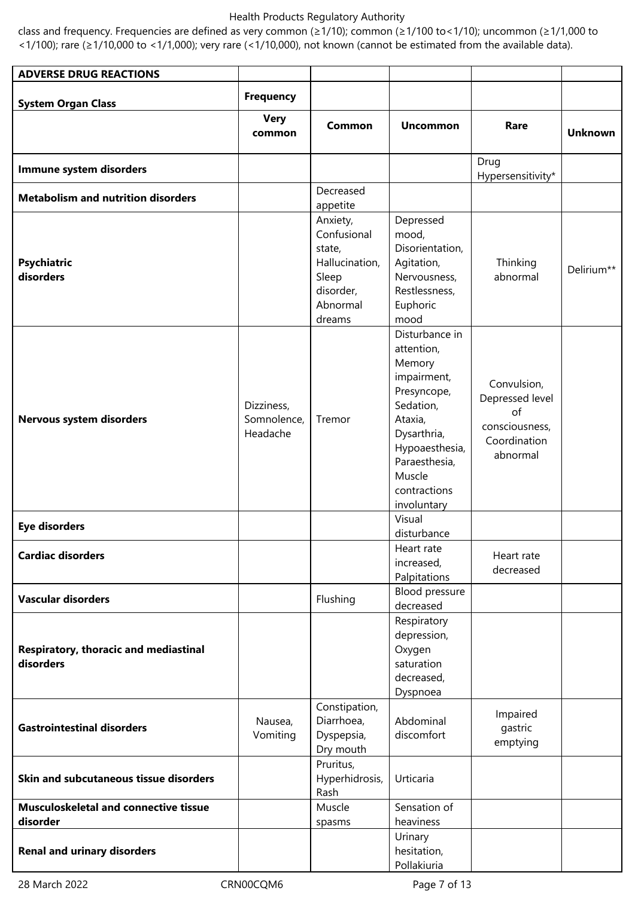class and frequency. Frequencies are defined as very common (≥1/10); common (≥1/100 to<1/10); uncommon (≥1/1,000 to <1/100); rare (≥1/10,000 to <1/1,000); very rare (<1/10,000), not known (cannot be estimated from the available data).

| <b>ADVERSE DRUG REACTIONS</b>                            |                                       |                                                                                                   |                                                                                                                                                                                                 |                                                                                    |                |
|----------------------------------------------------------|---------------------------------------|---------------------------------------------------------------------------------------------------|-------------------------------------------------------------------------------------------------------------------------------------------------------------------------------------------------|------------------------------------------------------------------------------------|----------------|
|                                                          | <b>Frequency</b>                      |                                                                                                   |                                                                                                                                                                                                 |                                                                                    |                |
| <b>System Organ Class</b>                                |                                       |                                                                                                   |                                                                                                                                                                                                 |                                                                                    |                |
|                                                          | <b>Very</b><br>common                 | Common                                                                                            | <b>Uncommon</b>                                                                                                                                                                                 | Rare                                                                               | <b>Unknown</b> |
| Immune system disorders                                  |                                       |                                                                                                   |                                                                                                                                                                                                 | Drug<br>Hypersensitivity*                                                          |                |
| <b>Metabolism and nutrition disorders</b>                |                                       | Decreased                                                                                         |                                                                                                                                                                                                 |                                                                                    |                |
| <b>Psychiatric</b><br>disorders                          |                                       | appetite<br>Anxiety,<br>Confusional<br>state,<br>Hallucination,<br>Sleep<br>disorder,<br>Abnormal | Depressed<br>mood,<br>Disorientation,<br>Agitation,<br>Nervousness,<br>Restlessness,<br>Euphoric                                                                                                | Thinking<br>abnormal                                                               | Delirium**     |
| Nervous system disorders                                 | Dizziness,<br>Somnolence,<br>Headache | dreams<br>Tremor                                                                                  | mood<br>Disturbance in<br>attention,<br>Memory<br>impairment,<br>Presyncope,<br>Sedation,<br>Ataxia,<br>Dysarthria,<br>Hypoaesthesia,<br>Paraesthesia,<br>Muscle<br>contractions<br>involuntary | Convulsion,<br>Depressed level<br>of<br>consciousness,<br>Coordination<br>abnormal |                |
| <b>Eye disorders</b>                                     |                                       |                                                                                                   | Visual<br>disturbance                                                                                                                                                                           |                                                                                    |                |
| <b>Cardiac disorders</b>                                 |                                       |                                                                                                   | Heart rate<br>increased,<br>Palpitations                                                                                                                                                        | Heart rate<br>decreased                                                            |                |
| <b>Vascular disorders</b>                                |                                       | Flushing                                                                                          | Blood pressure<br>decreased                                                                                                                                                                     |                                                                                    |                |
| Respiratory, thoracic and mediastinal<br>disorders       |                                       |                                                                                                   | Respiratory<br>depression,<br>Oxygen<br>saturation<br>decreased,<br>Dyspnoea                                                                                                                    |                                                                                    |                |
| <b>Gastrointestinal disorders</b>                        | Nausea,<br>Vomiting                   | Constipation,<br>Diarrhoea,<br>Dyspepsia,<br>Dry mouth                                            | Abdominal<br>discomfort                                                                                                                                                                         | Impaired<br>gastric<br>emptying                                                    |                |
| Skin and subcutaneous tissue disorders                   |                                       | Pruritus,<br>Hyperhidrosis,<br>Rash                                                               | Urticaria                                                                                                                                                                                       |                                                                                    |                |
| <b>Musculoskeletal and connective tissue</b><br>disorder |                                       | Muscle<br>spasms                                                                                  | Sensation of<br>heaviness                                                                                                                                                                       |                                                                                    |                |
| <b>Renal and urinary disorders</b>                       |                                       |                                                                                                   | Urinary<br>hesitation,<br>Pollakiuria                                                                                                                                                           |                                                                                    |                |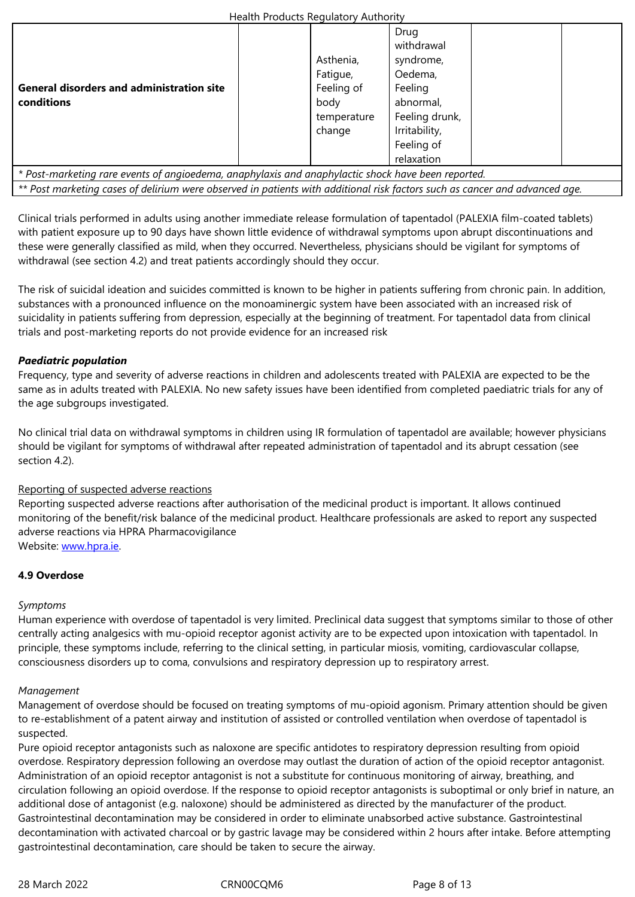|                                                                                                    | Asthenia,   | syndrome,      |  |
|----------------------------------------------------------------------------------------------------|-------------|----------------|--|
|                                                                                                    | Fatigue,    | Oedema,        |  |
| <b>General disorders and administration site</b>                                                   | Feeling of  | Feeling        |  |
| conditions                                                                                         | body        | abnormal,      |  |
|                                                                                                    | temperature | Feeling drunk, |  |
|                                                                                                    | change      | Irritability,  |  |
|                                                                                                    |             | Feeling of     |  |
|                                                                                                    |             | relaxation     |  |
| * Post-marketing rare events of angioedema, anaphylaxis and anaphylactic shock have been reported. |             |                |  |

*\*\* Post marketing cases of delirium were observed in patients with additional risk factors such as cancer and advanced age.*≙≙≙≙≙

Clinical trials performed in adults using another immediate release formulation of tapentadol (PALEXIA film-coated tablets) with patient exposure up to 90 days have shown∃little evidence of withdrawal symptoms upon abrupt discontinuations and these were generally classified as mild, when they occurred. Nevertheless, physicians should be vigilant for symptoms of withdrawal (see section 4.2) and treat patients accordingly should they occur.

The risk of suicidal ideation and suicides committed is known to be higher∔in patients suffering from chronic pain. In addition, substances with a pronounced influence on the monoaminergic system have been associated with an increased risk of suicidality in patients suffering from depression, especially at the beginning of treatment. For tapentadol data from clinical trials and post-marketing reports do not provide evidence for an increased risk

## *Paediatric population*

Frequency, type and severity of adverse reactions in children and adolescents treated with PALEXIA are expected to be the same as in adults treated with PALEXIA. No new safety issues have been identified from completed paediatric trials for any of the age subgroups investigated.

No clinical trial data on withdrawal symptoms in children using IR formulation of tapentadol are available; however physicians should be vigilant for symptoms of withdrawal after repeated administration of tapentadol and its abrupt cessation (see section 4.2).

## Reporting of suspected adverse reactions

Reporting suspected adverse reactions after authorisation of the medicinal product is important. It allows continued monitoring of the benefit/risk balance of the medicinal product. Healthcare professionals are asked to report any suspected adverse reactions via HPRA Pharmacovigilance Website: www.hpra.ie.

## **4.9 Overdose**

## *Sympto[ms](http://www.hpra.ie/)*

Human experience with overdose of tapentadol is very limited. Preclinical data suggest that symptoms similar to those of other centrally acting analgesics with mu-opioid receptor agonist activity are to be expected upon intoxication with tapentadol. In principle, these symptoms include, referring to the clinical setting, in particular miosis, vomiting, cardiovascular collapse, consciousness disorders up to coma, convulsions and respiratory depression up to respiratory arrest.

#### *Management*

Management of overdose should be focused on treating symptoms of mu-opioid agonism. Primary attention should∟be given to re-establishment of a patent airway and institution of assisted or controlled ventilation when overdose of tapentadol is suspected.

Pure opioid receptor antagonists such as naloxone are specific antidotes to respiratory depression resulting from opioid overdose. Respiratory depression following an overdose may outlast the duration of action of the opioid receptor antagonist. Administration of an opioid receptor antagonist is not a substitute for continuous monitoring of airway, breathing, and circulation following an opioid overdose. If the response to opioid receptor antagonists is suboptimal or only brief in nature, an additional dose of antagonist (e.g. naloxone) should be administered as directed by the manufacturer of the product. Gastrointestinal decontamination may be considered in order to eliminate unabsorbed active substance. Gastrointestinal decontamination with activated charcoal or by gastric lavage may be considered within 2 hours after intake. Before attempting gastrointestinal decontamination, care should be taken to secure the airway.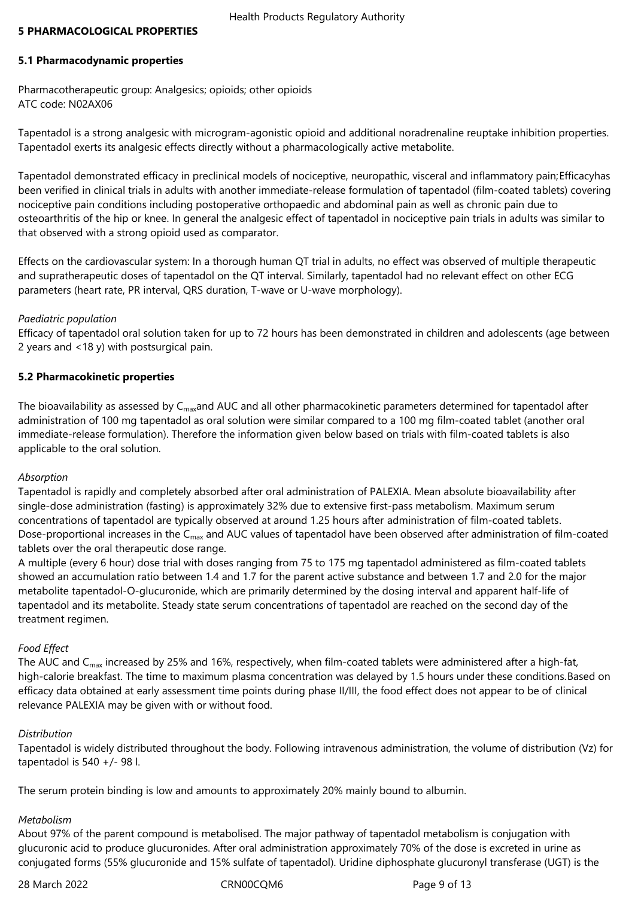## **5 PHARMACOLOGICAL PROPERTIES**

## **5.1 Pharmacodynamic properties**

Pharmacotherapeutic group: Analgesics; opioids; other opioids ATC≙code:≙N02AX06

Tapentadol is a strong analgesic with microgram-agonistic opioid and additional noradrenaline reuptake inhibition properties. Tapentadol exerts its analgesic effects directly without a pharmacologically active metabolite.

Tapentadol demonstrated efficacy in preclinical models of nociceptive, neuropathic, visceral and inflammatory pain;Efficacyhas been verified in clinical trials in adults with another immediate-release formulation of tapentadol (film-coated tablets) covering nociceptive pain conditions including postoperative orthopaedic and abdominal pain as well as chronic pain due to osteoarthritis of the hip⊇or knee. In general the analgesic effect of tapentadol≟in nociceptive pain trials in adults was similar to that observed with a strong opioid used as comparator.

Effects on the cardiovascular system: In a thorough human QT trial in adults, no effect was observed of multiple therapeutic and supratherapeutic doses of tapentadol on the QT interval. Similarly, tapentadol had no relevant effect on other ECG parameters (heart rate, PR interval, QRS duration, T-wave or U-wave morphology).

## *Paediatric population*

Efficacy of tapentadol oral solution taken for up to 72 hours has been demonstrated in children and adolescents (age between 2 years and <18 y) with postsurgical pain.

## **5.2 Pharmacokinetic properties**

The bioavailability as assessed by C<sub>max</sub>and AUC and all other pharmacokinetic parameters determined for tapentadol after administration of 100 mg tapentadol as oral solution were similar compared to a 100 mg film-coated tablet (another oral immediate-release formulation). Therefore the information given below based on trials with film-coated tablets is also applicable to the oral solution.

## *Absorption*

Tapentadol is rapidly and completely absorbed after oral administration of PALEXIA. Mean absolute bioavailability after single-dose administration (fasting) is approximately 32% due to extensive first-pass metabolism. Maximum serum concentrations of tapentadol are typically observed at around 1.25 hours after administration of film-coated tablets. Dose-proportional increases in the C<sub>max</sub> and AUC values of tapentadol have been observed after administration of film-coated tablets over the oral therapeutic dose range.

A multiple (every 6 hour) dose trial with doses ranging from 75 to 175 mg tapentadol administered as film-coated tablets showed an accumulation ratio between 1.4 and 1.7 for the parent active substance and between 1.7 and 2.0 for the major metabolite tapentadol-O-glucuronide, which are primarily determined by the dosing≟interval and apparent half-life of tapentadol and its metabolite. Steady state serum concentrations of tapentadol are reached on the second day of the treatment regimen.

## *Food Effect*

The AUC and C<sub>max</sub> increased by 25% and 16%, respectively, when film-coated tablets were administered after a high-fat, high-calorie breakfast. The time to maximum plasma concentration was delayed by 1.5 hours under these conditions.Based on efficacy data obtained at early assessment time points during phase II/III, the food effect does not appear to be of clinical relevance PALEXIA may be given with or without food.

## *Distribution*

Tapentadol is widely distributed throughout the body. Following intravenous administration, the volume of distribution (Vz) for tapentadol is 540  $+/-$  98 l.

The serum protein binding is low and amounts to approximately 20% mainly bound to albumin.

## *Metabolism*

About 97% of the parent compound is metabolised. The major pathway of tapentadol metabolism is conjugation with glucuronic acid to produce glucuronides. After oral administration approximately 70% of the dose is excreted in urine as conjugated forms (55% glucuronide and 15% sulfate of tapentadol). Uridine diphosphate glucuronyl transferase (UGT) is the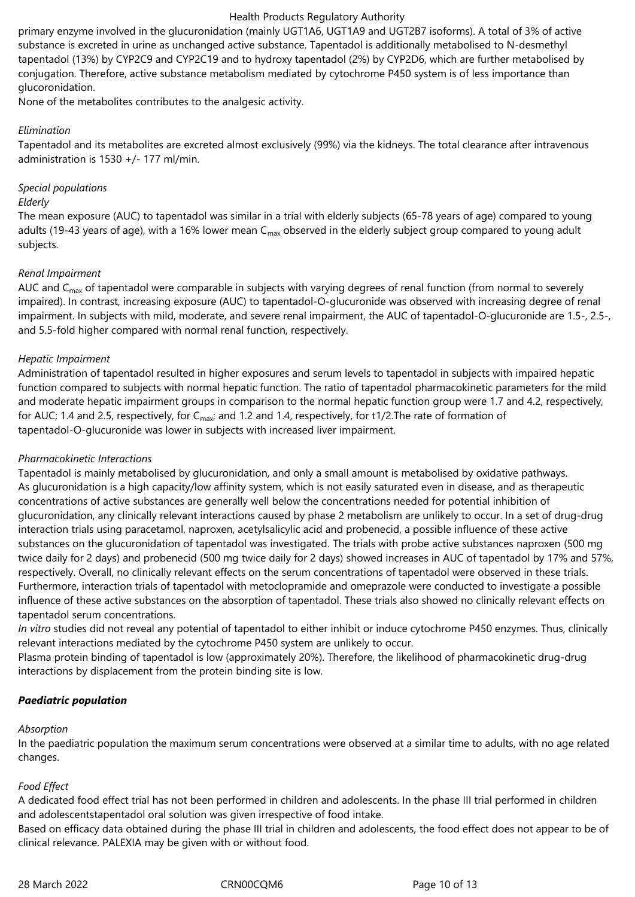primary enzyme involved in the glucuronidation (mainly UGT1A6, UGT1A9 and UGT2B7 isoforms). A total of 3% of active substance is excreted in urine as unchanged active substance. Tapentadol is additionally metabolised to N-desmethyl tapentadol (13%) by CYP2C9 and CYP2C19 and to hydroxy tapentadol (2%) by CYP2D6, which are further metabolised by conjugation. Therefore, active substance metabolism mediated by cytochrome P450 system is of less importance than glucoronidation.

None of the metabolites contributes to the analgesic activity.

## *Elimination*

Tapentadol and its metabolites are excreted almost exclusively (99%) via the kidneys. The total clearance after intravenous administration is 1530 +/- 177 ml/min.

## *Special populations*

#### *Elderly*

The mean exposure (AUC) to tapentadol was similar in a trial with elderly subjects (65-78 years of age) compared to young adults (19-43 years of age), with a 16% lower mean C<sub>max</sub> observed in the elderly subject group compared to young adult subjects.

## *Renal Impairment*

AUC and C<sub>max</sub> of tapentadol were comparable≀in subjects with∠varying degrees of renal function (from normal to severely impaired). In contrast, increasing exposure (AUC) to tapentadol-O-glucuronide was observed with increasing degree of renal impairment. In subjects with mild, moderate, and severe renal impairment, the AUC of tapentadol-O-glucuronide are 1.5-, 2.5-, and 5.5-fold higher compared with normal renal function, respectively.

## *Hepatic Impairment*

Administration of tapentadol resulted in higher exposures and serum levels to tapentadol≟in subjects with≟impaired hepatic function compared to subjects with normal hepatic function. The ratio⊇of tapentadol pharmacokinetic parameters for the mild and moderate hepatic impairment groups in comparison to the normal hepatic function group were 1.7 and 4.2, respectively, for AUC; 1.4 and 2.5, respectively, for C<sub>max</sub>; and 1.2 and 1.4, respectively, for t1/2.The rate of formation of tapentadol-O-glucuronide was lower in subjects with increased liver impairment.

## *Pharmacokinetic Interactions*

Tapentadol is mainly metabolised by glucuronidation, and only a small amount is metabolised by oxidative pathways. As glucuronidation is a high capacity/low affinity system, which is not easily saturated even in disease, and as therapeutic concentrations of active substances are generally well below the concentrations needed for potential inhibition of glucuronidation, any clinically relevant interactions caused by phase 2 metabolism are unlikely to occur. In a set of drug-drug interaction trials using paracetamol, naproxen, acetylsalicylic acid and probenecid, a possible influence of these active substances on the glucuronidation of tapentadol was investigated. The trials∠with probe active substances naproxen (500 mg twice daily for 2 days) and probenecid (500 mg twice daily for 2 days) showed increases in AUC of tapentadol by 17% and 57%, respectively. Overall, no clinically relevant effects on the serum concentrations of tapentadol were observed in these trials. Furthermore, interaction trials of tapentadol with metoclopramide and omeprazole were conducted to investigate a possible influence of these active substances on the absorption of tapentadol. These trials also showed no clinically relevant effects on tapentadol serum concentrations.

*In vitro* studies did not reveal any potential of tapentadol to either inhibit or induce cytochrome P450 enzymes. Thus, clinically relevant interactions mediated by the cytochrome P450 system are unlikely to occur.

Plasma protein binding of tapentadol is low (approximately 20%). Therefore, the likelihood of pharmacokinetic drug-drug interactions by displacement from the protein binding site is low.

## *Paediatric population*

## *Absorption*

In the paediatric population the maximum serum concentrations were observed at a similar time to adults, with no age≀related changes.

## *Food Effect*

A dedicated food effect trial has not been performed in children and adolescents. In the phase III trial performed in children and adolescentstapentadol oral solution was given irrespective of food intake.

Based on efficacy data obtained during the phase III trial≀in children and adolescents, the food effect does not appear to be of clinical relevance. PALEXIA may be given with or without food.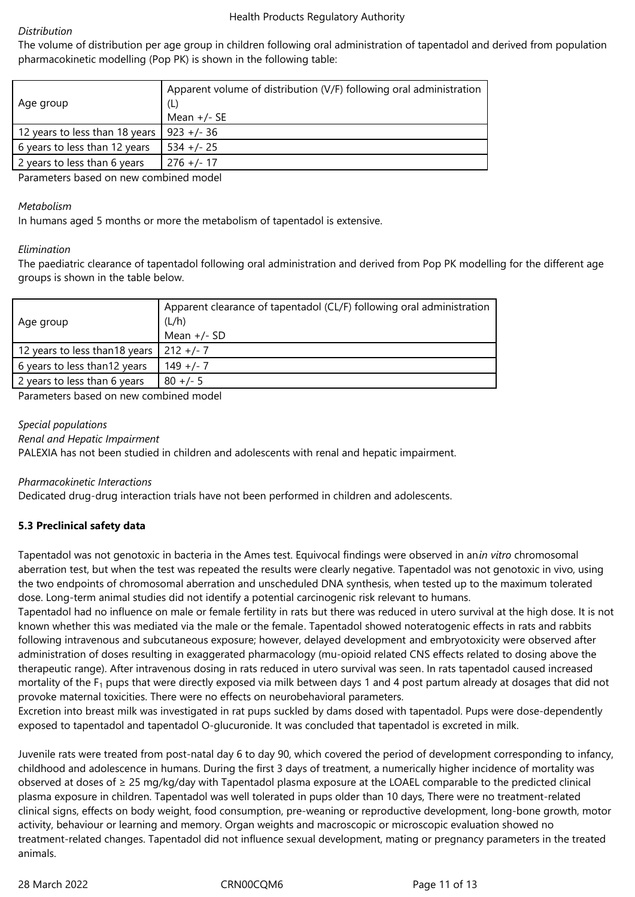## *Distribution*

The volume of distribution per age group≀in children following oral administration∠of tapentadol and derived from population pharmacokinetic modelling (Pop PK) is shown in the following table:

| Age group                      | Apparent volume of distribution (V/F) following oral administration<br>(L)<br>Mean $+/-$ SE |
|--------------------------------|---------------------------------------------------------------------------------------------|
|                                |                                                                                             |
| 12 years to less than 18 years | $923 +/- 36$                                                                                |
| 6 years to less than 12 years  | $534 +/- 25$                                                                                |
| 2 years to less than 6 years   | $276 + (-17)$                                                                               |
|                                | .                                                                                           |

Parameters≙based≙on≙new≙combined≙model

## *Metabolism*

In humans aged 5 months or more the metabolism of tapentadol is extensive.

## *Elimination*

The paediatric clearance of tapentadol following oral administration and derived from Pop PK modelling for the different age aroups is shown in the table below.

| Age group                      | Apparent clearance of tapentadol (CL/F) following oral administration<br>(L/h)<br>Mean $+/-$ SD |
|--------------------------------|-------------------------------------------------------------------------------------------------|
| 12 years to less than 18 years | $212 + 7$                                                                                       |
| 6 years to less than 12 years  | $149 +/- 7$                                                                                     |
| 2 years to less than 6 years   | $80 +/- 5$                                                                                      |

Parameters based on new combined model

## *Special populations*

*Renal and Hepatic Impairment*

PALEXIA has not been studied in children and adolescents with renal and hepatic impairment.

## *Pharmacokinetic Interactions*

Dedicated drug-drug interaction trials have not been performed in children and adolescents.

## **5.3 Preclinical safety data**

Tapentadol was not genotoxic≟in bacteria in the Ames test. Equivocal findings were observed≟in an*in vitro* chromosomal aberration test, but when the test was repeated the results were clearly negative. Tapentadol was not genotoxic in vivo, using the two endpoints of chromosomal aberration and unscheduled DNA synthesis, when tested up to the maximum tolerated dose. Long-term animal studies did not identify a potential carcinogenic risk relevant to humans.

Tapentadol had no influence on male or female fertility in rats but there was reduced in utero survival at the high dose. It is not known whether this was mediated via the male or the female. Tapentadol showed noteratogenic effects in rats and rabbits following intravenous and subcutaneous exposure; however, delayed development and embryotoxicity were observed after administration of doses resulting in exaggerated pharmacology (mu-opioid related CNS effects related to dosing above the therapeutic range). After intravenous dosing in rats reduced in utero survival was seen. In rats tapentadol caused increased mortality of the F<sub>1</sub> pups that were directly exposed≀via milk between days 1 and 4 post partum already at dosages that did not provoke maternal toxicities. There were no effects on neurobehavioral parameters.

Excretion into breast milk was investigated in rat pups suckled by dams dosed with tapentadol. Pups were dose-dependently exposed to tapentadol and tapentadol O-glucuronide. It was concluded that tapentadol is excreted in milk.

Juvenile rats were treated from post-natal day 6 to day 90, which covered the period of development corresponding to infancy, childhood and adolescence in humans. During the first 3 days of treatment, a numerically higher incidence of mortality was observed at doses of ≥ 25 mg/kg/day with Tapentadol plasma exposure at the LOAEL comparable to the predicted clinical plasma exposure in children. Tapentadol was well tolerated in pups older than 10 days, There were no treatment-related clinical signs, effects on body weight, food consumption, pre-weaning or reproductive development, long-bone growth, motor activity, behaviour or learning and memory. Organ weights and macroscopic or microscopic evaluation showed no treatment-related changes. Tapentadol did∈not influence sexual development, mating or pregnancy parameters in the treated animals.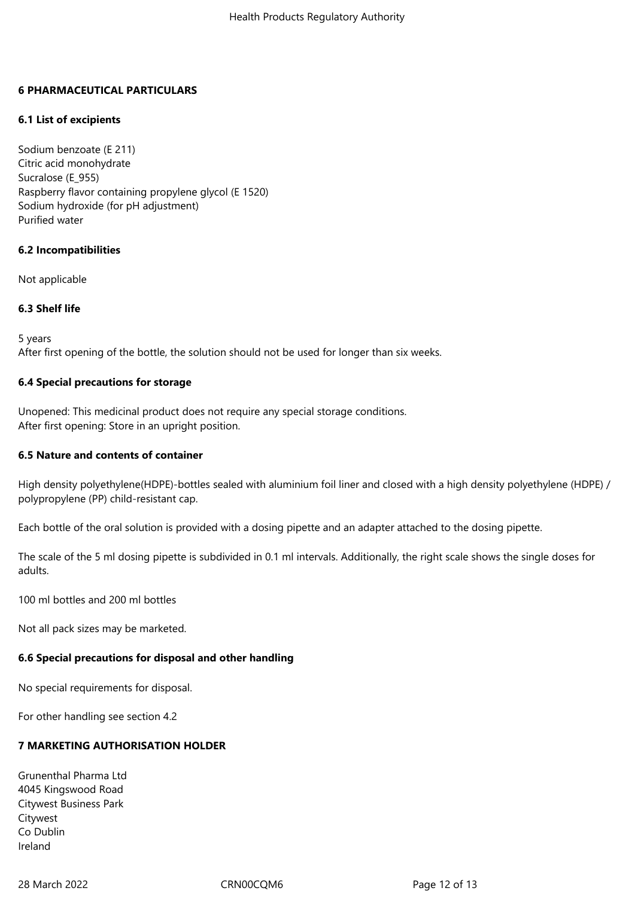## **6 PHARMACEUTICAL PARTICULARS**

## **6.1 List of excipients**

Sodium benzoate (E 211) Citric acid monohydrate Sucralose (E\_955) Raspberry flavor containing propylene glycol (E 1520) Sodium hydroxide (for pH adjustment) Purified≙water

## **6.2 Incompatibilities**

Not applicable

## **6.3 Shelf life**

5 years

After first opening of the bottle, the solution should not be used for longer than six weeks.

#### **6.4 Special precautions for storage**

Unopened: This medicinal product does not require any special storage conditions. After first opening: Store in an upright position.

## **6.5 Nature and contents of container**

High density polyethylene(HDPE)-bottles sealed with aluminium foil liner and closed with a high density polyethylene (HDPE) / polypropylene (PP) child-resistant cap.

Each bottle of the oral solution is provided with a dosing pipette and an adapter attached to the dosing pipette.

The scale of the 5 ml dosing pipette is subdivided in 0.1 ml intervals. Additionally, the right scale shows the single doses for adults.

100 ml bottles and 200 ml bottles

Not all pack sizes may be marketed.

## **6.6 Special precautions for disposal and other handling**

No special requirements for disposal.

For other handling see section 4.2

## **7 MARKETING AUTHORISATION HOLDER**

Grunenthal≙Pharma≙Ltd 4045≙Kingswood≙Road Citywest Business Park Citywest Co≙Dublin Ireland